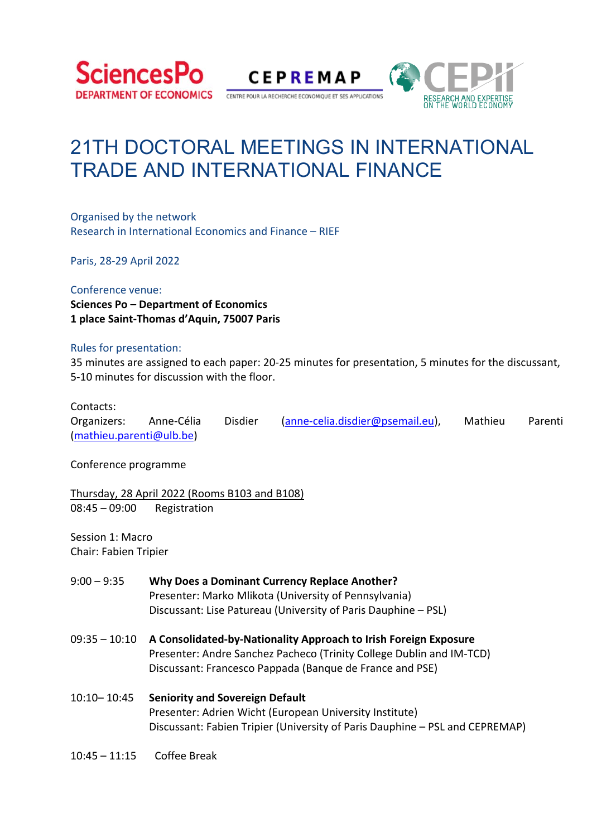



CENTRE POUR LA RECHERCHE ECONOMIQUE ET SES APPLICATIONS



# 21TH DOCTORAL MEETINGS IN INTERNATIONAL TRADE AND INTERNATIONAL FINANCE

Organised by the network Research in International Economics and Finance – RIEF

Paris, 28‐29 April 2022

#### Conference venue:

**Sciences Po – Department of Economics 1 place Saint‐Thomas d'Aquin, 75007 Paris** 

#### Rules for presentation:

35 minutes are assigned to each paper: 20‐25 minutes for presentation, 5 minutes for the discussant, 5‐10 minutes for discussion with the floor.

#### Contacts:

| Organizers:              | Anne-Célia | <b>Disdier</b> | (anne-celia.disdier@psemail.eu), | Mathieu | Parenti |
|--------------------------|------------|----------------|----------------------------------|---------|---------|
| (mathieu.parenti@ulb.be) |            |                |                                  |         |         |

Conference programme

Thursday, 28 April 2022 (Rooms B103 and B108) 08:45 – 09:00 Registration

Session 1: Macro Chair: Fabien Tripier

- 9:00 9:35 **Why Does a Dominant Currency Replace Another?**  Presenter: Marko Mlikota (University of Pennsylvania) Discussant: Lise Patureau (University of Paris Dauphine – PSL)
- 09:35 10:10 **A Consolidated‐by‐Nationality Approach to Irish Foreign Exposure** Presenter: Andre Sanchez Pacheco (Trinity College Dublin and IM‐TCD) Discussant: Francesco Pappada (Banque de France and PSE)
- 10:10– 10:45 **Seniority and Sovereign Default** Presenter: Adrien Wicht (European University Institute) Discussant: Fabien Tripier (University of Paris Dauphine – PSL and CEPREMAP)
- 10:45 11:15 Coffee Break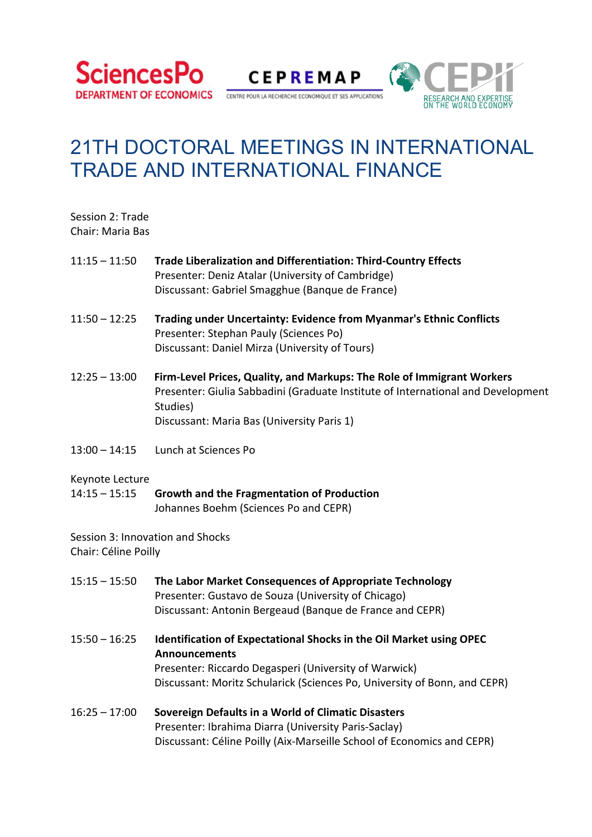

**CEPREMAP** 

CENTRE POUR LA RECHERCHE ECONOMIQUE ET SES APPLICATIONS



# 21TH DOCTORAL MEETINGS IN INTERNATIONAL TRADE AND INTERNATIONAL FINANCE

| Session 2: Trade |  |
|------------------|--|
| Chair: Maria Bas |  |

- 11:15 11:50 **Trade Liberalization and Differentiation: Third‐Country Effects** Presenter: Deniz Atalar (University of Cambridge) Discussant: Gabriel Smagghue (Banque de France)
- 11:50 12:25 **Trading under Uncertainty: Evidence from Myanmar's Ethnic Conflicts**  Presenter: Stephan Pauly (Sciences Po) Discussant: Daniel Mirza (University of Tours)
- 12:25 13:00 **Firm‐Level Prices, Quality, and Markups: The Role of Immigrant Workers**  Presenter: Giulia Sabbadini (Graduate Institute of International and Development Studies) Discussant: Maria Bas (University Paris 1)
- 13:00 14:15 Lunch at Sciences Po

#### Keynote Lecture

| $14:15 - 15:15$ | <b>Growth and the Fragmentation of Production</b> |
|-----------------|---------------------------------------------------|
|                 | Johannes Boehm (Sciences Po and CEPR)             |

Session 3: Innovation and Shocks Chair: Céline Poilly

15:15 – 15:50 **The Labor Market Consequences of Appropriate Technology**  Presenter: Gustavo de Souza (University of Chicago) Discussant: Antonin Bergeaud (Banque de France and CEPR) 15:50 – 16:25 **Identification of Expectational Shocks in the Oil Market using OPEC Announcements** Presenter: Riccardo Degasperi (University of Warwick) Discussant: Moritz Schularick (Sciences Po, University of Bonn, and CEPR) 16:25 – 17:00 **Sovereign Defaults in a World of Climatic Disasters** 

 Presenter: Ibrahima Diarra (University Paris‐Saclay) Discussant: Céline Poilly (Aix‐Marseille School of Economics and CEPR)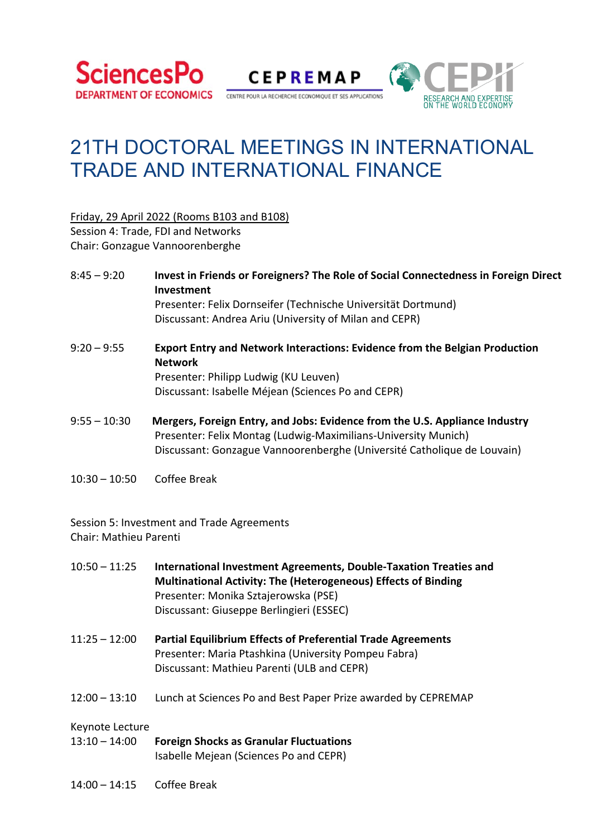

**CEPREMAP** 

CENTRE POUR LA RECHERCHE ECONOMIQUE ET SES APPLICATIONS



# 21TH DOCTORAL MEETINGS IN INTERNATIONAL TRADE AND INTERNATIONAL FINANCE

Friday, 29 April 2022 (Rooms B103 and B108)

Session 4: Trade, FDI and Networks Chair: Gonzague Vannoorenberghe

- 8:45 9:20 **Invest in Friends or Foreigners? The Role of Social Connectedness in Foreign Direct Investment**  Presenter: Felix Dornseifer (Technische Universität Dortmund) Discussant: Andrea Ariu (University of Milan and CEPR)
- 9:20 9:55 **Export Entry and Network Interactions: Evidence from the Belgian Production Network**  Presenter: Philipp Ludwig (KU Leuven) Discussant: Isabelle Méjean (Sciences Po and CEPR)
- 9:55 10:30 **Mergers, Foreign Entry, and Jobs: Evidence from the U.S. Appliance Industry**  Presenter: Felix Montag (Ludwig‐Maximilians‐University Munich) Discussant: Gonzague Vannoorenberghe (Université Catholique de Louvain)
- 10:30 10:50 Coffee Break

Session 5: Investment and Trade Agreements Chair: Mathieu Parenti

| $10:50 - 11:25$ | International Investment Agreements, Double-Taxation Treaties and<br><b>Multinational Activity: The (Heterogeneous) Effects of Binding</b><br>Presenter: Monika Sztajerowska (PSE)<br>Discussant: Giuseppe Berlingieri (ESSEC) |
|-----------------|--------------------------------------------------------------------------------------------------------------------------------------------------------------------------------------------------------------------------------|
| $11:25 - 12:00$ | <b>Partial Equilibrium Effects of Preferential Trade Agreements</b><br>Presenter: Maria Ptashkina (University Pompeu Fabra)<br>Discussant: Mathieu Parenti (ULB and CEPR)                                                      |
| $12:00 - 13:10$ | Lunch at Sciences Po and Best Paper Prize awarded by CEPREMAP                                                                                                                                                                  |
| Keynote Lecture |                                                                                                                                                                                                                                |
| $13:10 - 14:00$ | <b>Foreign Shocks as Granular Fluctuations</b><br>Isabelle Mejean (Sciences Po and CEPR)                                                                                                                                       |

14:00 – 14:15 Coffee Break